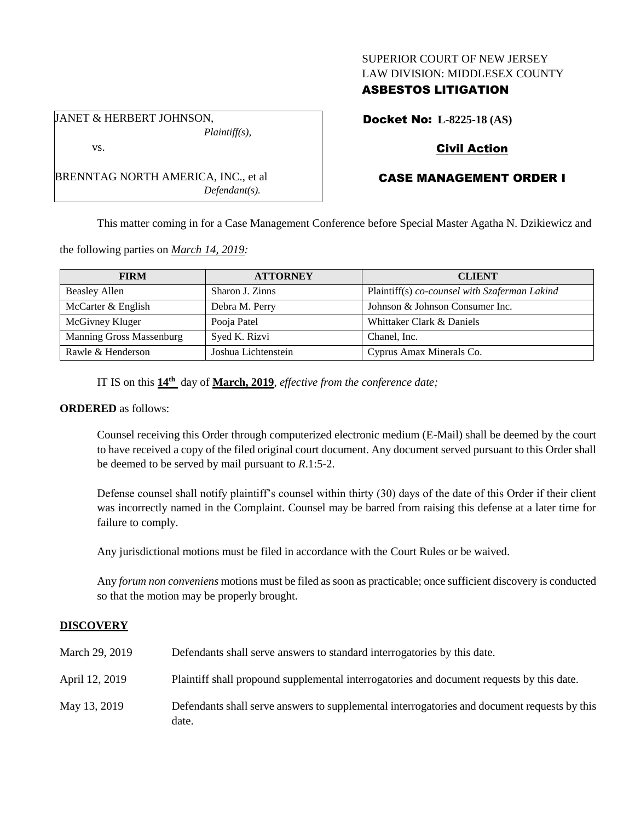### SUPERIOR COURT OF NEW JERSEY LAW DIVISION: MIDDLESEX COUNTY

## ASBESTOS LITIGATION

Docket No: **L-8225-18 (AS)**

# Civil Action

# CASE MANAGEMENT ORDER I

This matter coming in for a Case Management Conference before Special Master Agatha N. Dzikiewicz and

the following parties on *March 14, 2019:*

| <b>FIRM</b>                     | <b>ATTORNEY</b>     | <b>CLIENT</b>                                 |
|---------------------------------|---------------------|-----------------------------------------------|
| <b>Beasley Allen</b>            | Sharon J. Zinns     | Plaintiff(s) co-counsel with Szaferman Lakind |
| McCarter & English              | Debra M. Perry      | Johnson & Johnson Consumer Inc.               |
| McGivney Kluger                 | Pooja Patel         | Whittaker Clark & Daniels                     |
| <b>Manning Gross Massenburg</b> | Syed K. Rizvi       | Chanel, Inc.                                  |
| Rawle & Henderson               | Joshua Lichtenstein | Cyprus Amax Minerals Co.                      |

IT IS on this **14th** day of **March, 2019**, *effective from the conference date;*

*Defendant(s).*

#### **ORDERED** as follows:

Counsel receiving this Order through computerized electronic medium (E-Mail) shall be deemed by the court to have received a copy of the filed original court document. Any document served pursuant to this Order shall be deemed to be served by mail pursuant to *R*.1:5-2.

Defense counsel shall notify plaintiff's counsel within thirty (30) days of the date of this Order if their client was incorrectly named in the Complaint. Counsel may be barred from raising this defense at a later time for failure to comply.

Any jurisdictional motions must be filed in accordance with the Court Rules or be waived.

Any *forum non conveniens* motions must be filed as soon as practicable; once sufficient discovery is conducted so that the motion may be properly brought.

## **DISCOVERY**

| March 29, 2019 | Defendants shall serve answers to standard interrogatories by this date.                              |
|----------------|-------------------------------------------------------------------------------------------------------|
| April 12, 2019 | Plaintiff shall propound supplemental interrogatories and document requests by this date.             |
| May 13, 2019   | Defendants shall serve answers to supplemental interrogatories and document requests by this<br>date. |

JANET & HERBERT JOHNSON, *Plaintiff(s),* vs.

BRENNTAG NORTH AMERICA, INC., et al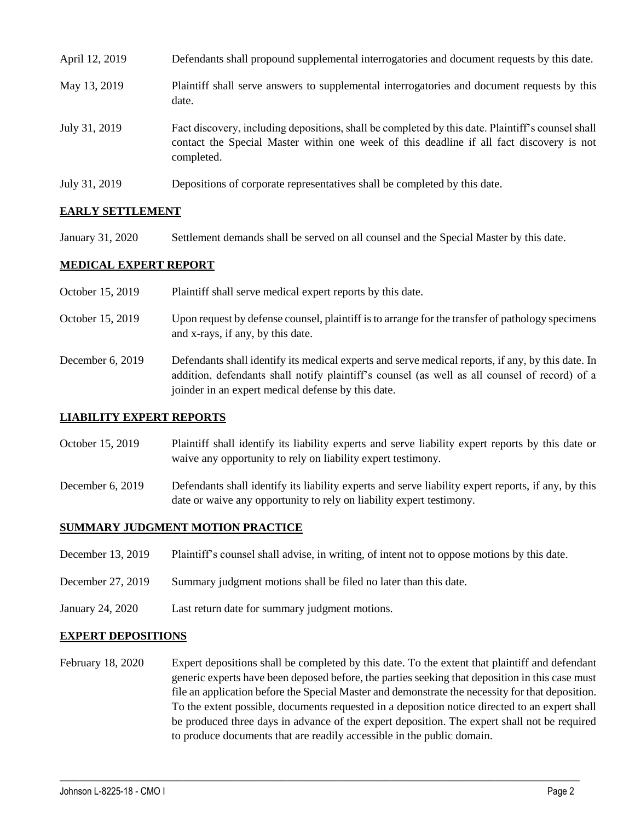| April 12, 2019 | Defendants shall propound supplemental interrogatories and document requests by this date.                                                                                                                  |
|----------------|-------------------------------------------------------------------------------------------------------------------------------------------------------------------------------------------------------------|
| May 13, 2019   | Plaintiff shall serve answers to supplemental interrogatories and document requests by this<br>date.                                                                                                        |
| July 31, 2019  | Fact discovery, including depositions, shall be completed by this date. Plaintiff's counsel shall<br>contact the Special Master within one week of this deadline if all fact discovery is not<br>completed. |
| July 31, 2019  | Depositions of corporate representatives shall be completed by this date.                                                                                                                                   |

### **EARLY SETTLEMENT**

January 31, 2020 Settlement demands shall be served on all counsel and the Special Master by this date.

### **MEDICAL EXPERT REPORT**

October 15, 2019 Plaintiff shall serve medical expert reports by this date. October 15, 2019 Upon request by defense counsel, plaintiff is to arrange for the transfer of pathology specimens and x-rays, if any, by this date. December 6, 2019 Defendants shall identify its medical experts and serve medical reports, if any, by this date. In addition, defendants shall notify plaintiff's counsel (as well as all counsel of record) of a joinder in an expert medical defense by this date.

#### **LIABILITY EXPERT REPORTS**

- October 15, 2019 Plaintiff shall identify its liability experts and serve liability expert reports by this date or waive any opportunity to rely on liability expert testimony.
- December 6, 2019 Defendants shall identify its liability experts and serve liability expert reports, if any, by this date or waive any opportunity to rely on liability expert testimony.

#### **SUMMARY JUDGMENT MOTION PRACTICE**

- December 13, 2019 Plaintiff's counsel shall advise, in writing, of intent not to oppose motions by this date.
- December 27, 2019 Summary judgment motions shall be filed no later than this date.
- January 24, 2020 Last return date for summary judgment motions.

#### **EXPERT DEPOSITIONS**

February 18, 2020 Expert depositions shall be completed by this date. To the extent that plaintiff and defendant generic experts have been deposed before, the parties seeking that deposition in this case must file an application before the Special Master and demonstrate the necessity for that deposition. To the extent possible, documents requested in a deposition notice directed to an expert shall be produced three days in advance of the expert deposition. The expert shall not be required to produce documents that are readily accessible in the public domain.

 $\_$  ,  $\_$  ,  $\_$  ,  $\_$  ,  $\_$  ,  $\_$  ,  $\_$  ,  $\_$  ,  $\_$  ,  $\_$  ,  $\_$  ,  $\_$  ,  $\_$  ,  $\_$  ,  $\_$  ,  $\_$  ,  $\_$  ,  $\_$  ,  $\_$  ,  $\_$  ,  $\_$  ,  $\_$  ,  $\_$  ,  $\_$  ,  $\_$  ,  $\_$  ,  $\_$  ,  $\_$  ,  $\_$  ,  $\_$  ,  $\_$  ,  $\_$  ,  $\_$  ,  $\_$  ,  $\_$  ,  $\_$  ,  $\_$  ,